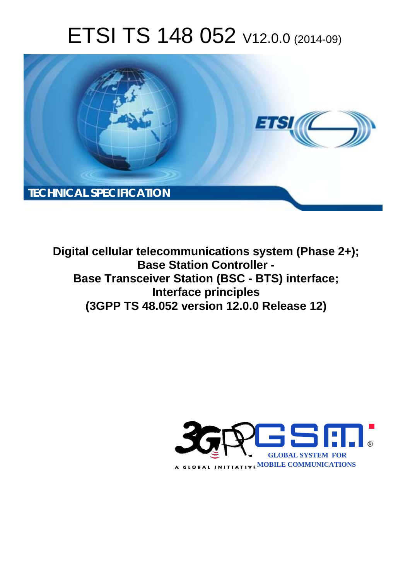# ETSI TS 148 052 V12.0.0 (2014-09)



**Digital cellular telecommunications system (Phase 2+); Base Station Controller - Base Transceiver Station (BSC - BTS) interface; Interface principles (3GPP TS 48.052 version 12.0.0 Release 12)** 

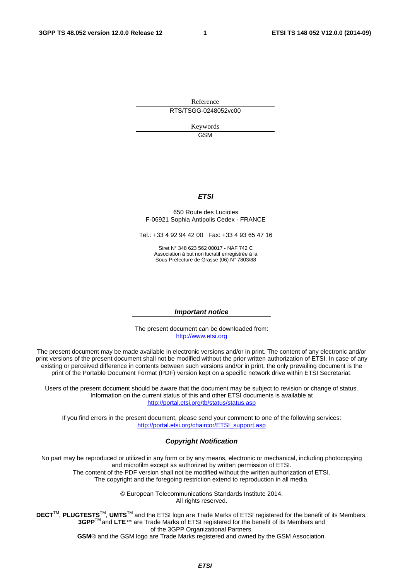Reference RTS/TSGG-0248052vc00

> Keywords **GSM**

#### *ETSI*

#### 650 Route des Lucioles F-06921 Sophia Antipolis Cedex - FRANCE

Tel.: +33 4 92 94 42 00 Fax: +33 4 93 65 47 16

Siret N° 348 623 562 00017 - NAF 742 C Association à but non lucratif enregistrée à la Sous-Préfecture de Grasse (06) N° 7803/88

#### *Important notice*

The present document can be downloaded from: [http://www.etsi.org](http://www.etsi.org/)

The present document may be made available in electronic versions and/or in print. The content of any electronic and/or print versions of the present document shall not be modified without the prior written authorization of ETSI. In case of any existing or perceived difference in contents between such versions and/or in print, the only prevailing document is the print of the Portable Document Format (PDF) version kept on a specific network drive within ETSI Secretariat.

Users of the present document should be aware that the document may be subject to revision or change of status. Information on the current status of this and other ETSI documents is available at <http://portal.etsi.org/tb/status/status.asp>

If you find errors in the present document, please send your comment to one of the following services: [http://portal.etsi.org/chaircor/ETSI\\_support.asp](http://portal.etsi.org/chaircor/ETSI_support.asp)

#### *Copyright Notification*

No part may be reproduced or utilized in any form or by any means, electronic or mechanical, including photocopying and microfilm except as authorized by written permission of ETSI.

The content of the PDF version shall not be modified without the written authorization of ETSI. The copyright and the foregoing restriction extend to reproduction in all media.

> © European Telecommunications Standards Institute 2014. All rights reserved.

**DECT**TM, **PLUGTESTS**TM, **UMTS**TM and the ETSI logo are Trade Marks of ETSI registered for the benefit of its Members. **3GPP**TM and **LTE**™ are Trade Marks of ETSI registered for the benefit of its Members and of the 3GPP Organizational Partners.

**GSM**® and the GSM logo are Trade Marks registered and owned by the GSM Association.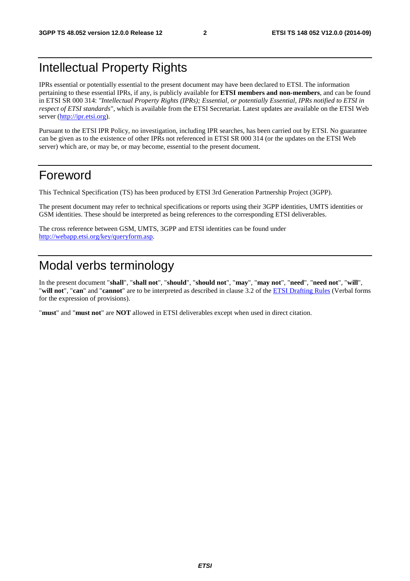### Intellectual Property Rights

IPRs essential or potentially essential to the present document may have been declared to ETSI. The information pertaining to these essential IPRs, if any, is publicly available for **ETSI members and non-members**, and can be found in ETSI SR 000 314: *"Intellectual Property Rights (IPRs); Essential, or potentially Essential, IPRs notified to ETSI in respect of ETSI standards"*, which is available from the ETSI Secretariat. Latest updates are available on the ETSI Web server [\(http://ipr.etsi.org\)](http://webapp.etsi.org/IPR/home.asp).

Pursuant to the ETSI IPR Policy, no investigation, including IPR searches, has been carried out by ETSI. No guarantee can be given as to the existence of other IPRs not referenced in ETSI SR 000 314 (or the updates on the ETSI Web server) which are, or may be, or may become, essential to the present document.

### Foreword

This Technical Specification (TS) has been produced by ETSI 3rd Generation Partnership Project (3GPP).

The present document may refer to technical specifications or reports using their 3GPP identities, UMTS identities or GSM identities. These should be interpreted as being references to the corresponding ETSI deliverables.

The cross reference between GSM, UMTS, 3GPP and ETSI identities can be found under [http://webapp.etsi.org/key/queryform.asp.](http://webapp.etsi.org/key/queryform.asp)

### Modal verbs terminology

In the present document "**shall**", "**shall not**", "**should**", "**should not**", "**may**", "**may not**", "**need**", "**need not**", "**will**", "**will not**", "**can**" and "**cannot**" are to be interpreted as described in clause 3.2 of the [ETSI Drafting Rules](http://portal.etsi.org/Help/editHelp!/Howtostart/ETSIDraftingRules.aspx) (Verbal forms for the expression of provisions).

"**must**" and "**must not**" are **NOT** allowed in ETSI deliverables except when used in direct citation.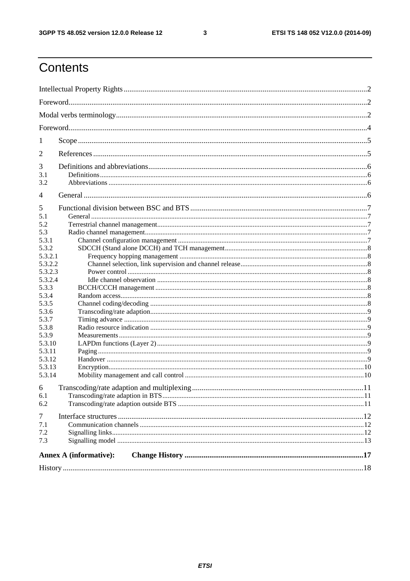$\mathbf{3}$ 

### Contents

| 1                                                                                                                                                                                                     |  |  |  |  |  |
|-------------------------------------------------------------------------------------------------------------------------------------------------------------------------------------------------------|--|--|--|--|--|
| 2                                                                                                                                                                                                     |  |  |  |  |  |
| 3<br>3.1<br>3.2                                                                                                                                                                                       |  |  |  |  |  |
| $\overline{4}$                                                                                                                                                                                        |  |  |  |  |  |
| 5<br>5.1<br>5.2<br>5.3<br>5.3.1<br>5.3.2<br>5.3.2.1<br>5.3.2.2<br>5.3.2.3<br>5.3.2.4<br>5.3.3<br>5.3.4<br>5.3.5<br>5.3.6<br>5.3.7<br>5.3.8<br>5.3.9<br>5.3.10<br>5.3.11<br>5.3.12<br>5.3.13<br>5.3.14 |  |  |  |  |  |
| 6<br>6.1<br>6.2                                                                                                                                                                                       |  |  |  |  |  |
| $\overline{7}$<br>7.1<br>7.2<br>7.3                                                                                                                                                                   |  |  |  |  |  |
| <b>Annex A (informative):</b>                                                                                                                                                                         |  |  |  |  |  |
|                                                                                                                                                                                                       |  |  |  |  |  |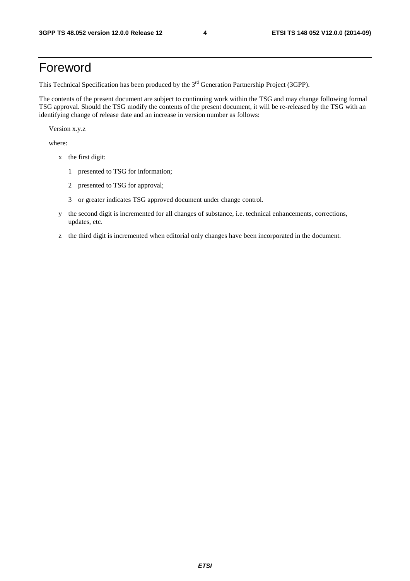### Foreword

This Technical Specification has been produced by the 3<sup>rd</sup> Generation Partnership Project (3GPP).

The contents of the present document are subject to continuing work within the TSG and may change following formal TSG approval. Should the TSG modify the contents of the present document, it will be re-released by the TSG with an identifying change of release date and an increase in version number as follows:

Version x.y.z

where:

- x the first digit:
	- 1 presented to TSG for information;
	- 2 presented to TSG for approval;
	- 3 or greater indicates TSG approved document under change control.
- y the second digit is incremented for all changes of substance, i.e. technical enhancements, corrections, updates, etc.
- z the third digit is incremented when editorial only changes have been incorporated in the document.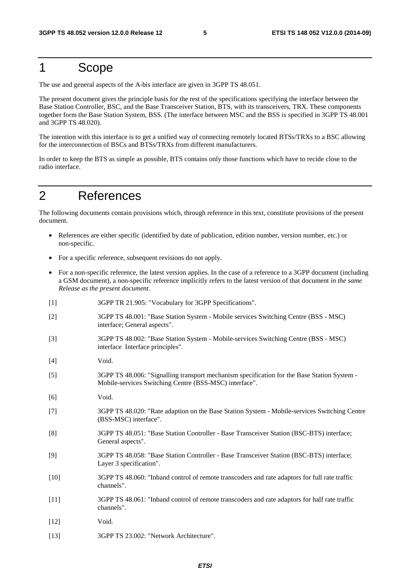### 1 Scope

The use and general aspects of the A-bis interface are given in 3GPP TS 48.051.

The present document gives the principle basis for the rest of the specifications specifying the interface between the Base Station Controller, BSC, and the Base Transceiver Station, BTS, with its transceivers, TRX. These components together form the Base Station System, BSS. (The interface between MSC and the BSS is specified in 3GPP TS 48.001 and 3GPP TS 48.020).

The intention with this interface is to get a unified way of connecting remotely located BTSs/TRXs to a BSC allowing for the interconnection of BSCs and BTSs/TRXs from different manufacturers.

In order to keep the BTS as simple as possible, BTS contains only those functions which have to recide close to the radio interface.

### 2 References

The following documents contain provisions which, through reference in this text, constitute provisions of the present document.

- References are either specific (identified by date of publication, edition number, version number, etc.) or non-specific.
- For a specific reference, subsequent revisions do not apply.

interface; General aspects".

- For a non-specific reference, the latest version applies. In the case of a reference to a 3GPP document (including a GSM document), a non-specific reference implicitly refers to the latest version of that document *in the same Release as the present document*.
- [1] 3GPP TR 21.905: "Vocabulary for 3GPP Specifications". [2] 3GPP TS 48.001: "Base Station System - Mobile services Switching Centre (BSS - MSC)
- [3] 3GPP TS 48.002: "Base Station System Mobile-services Switching Centre (BSS MSC) interface Interface principles".
- [4] Void.
- [5] 3GPP TS 48.006: "Signalling transport mechanism specification for the Base Station System Mobile-services Switching Centre (BSS-MSC) interface".
- [6] Void.
- [7] 3GPP TS 48.020: "Rate adaption on the Base Station System Mobile-services Switching Centre (BSS-MSC) interface".
- [8] 3GPP TS 48.051: "Base Station Controller Base Transceiver Station (BSC-BTS) interface; General aspects".
- [9] 3GPP TS 48.058: "Base Station Controller Base Transceiver Station (BSC-BTS) interface; Layer 3 specification".
- [10] 3GPP TS 48.060: "Inband control of remote transcoders and rate adaptors for full rate traffic channels".
- [11] 3GPP TS 48.061: "Inband control of remote transcoders and rate adaptors for half rate traffic channels".
- [12] **Void.**
- [13] 3GPP TS 23.002: "Network Architecture".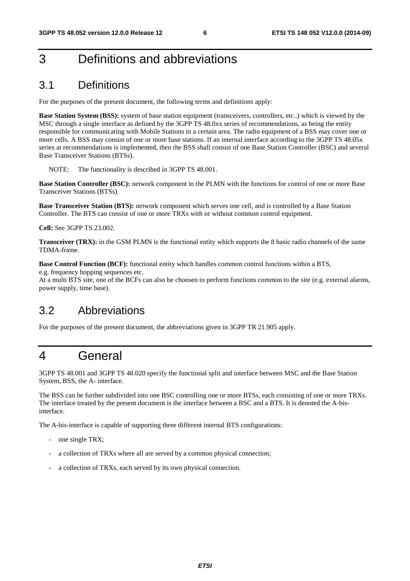### 3 Definitions and abbreviations

### 3.1 Definitions

For the purposes of the present document, the following terms and definitions apply:

**Base Station System (BSS):** system of base station equipment (transceivers, controllers, etc..) which is viewed by the MSC through a single interface as defined by the 3GPP TS 48.0xx series of recommendations, as being the entity responsible for communicating with Mobile Stations in a certain area. The radio equipment of a BSS may cover one or more cells. A BSS may consist of one or more base stations. If an internal interface according to the 3GPP TS 48.05x series at recommendations is implemented, then the BSS shall consist of one Base Station Controller (BSC) and several Base Transceiver Stations (BTSs).

NOTE: The functionality is described in 3GPP TS 48.001.

**Base Station Controller (BSC):** network component in the PLMN with the functions for control of one or more Base Transceiver Stations (BTSs).

**Base Transceiver Station (BTS):** network component which serves one cell, and is controlled by a Base Station Controller. The BTS can consist of one or more TRXs with or without common control equipment.

**Cell:** See 3GPP TS 23.002.

**Transceiver (TRX):** in the GSM PLMN is the functional entity which supports the 8 basic radio channels of the same TDMA-frame.

**Base Control Function (BCF):** functional entity which handles common control functions within a BTS, e.g. frequency hopping sequences etc.

At a multi BTS site, one of the BCFs can also be choosen to perform functions common to the site (e.g. external alarms, power supply, time base).

#### 3.2 Abbreviations

For the purposes of the present document, the abbreviations given in 3GPP TR 21.905 apply.

### 4 General

3GPP TS 48.001 and 3GPP TS 48.020 specify the functional split and interface between MSC and the Base Station System, BSS, the A- interface.

The BSS can be further subdivided into one BSC controlling one or more BTSs, each consisting of one or more TRXs. The interface treated by the present document is the interface between a BSC and a BTS. It is denoted the A-bisinterface.

The A-bis-interface is capable of supporting three different internal BTS configurations:

- one single TRX;
- a collection of TRXs where all are served by a common physical connection;
- a collection of TRXs, each served by its own physical connection.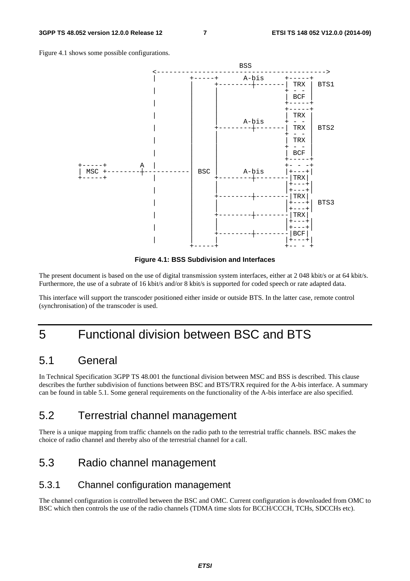Figure 4.1 shows some possible configurations.



**Figure 4.1: BSS Subdivision and Interfaces** 

The present document is based on the use of digital transmission system interfaces, either at 2 048 kbit/s or at 64 kbit/s. Furthermore, the use of a subrate of 16 kbit/s and/or 8 kbit/s is supported for coded speech or rate adapted data.

This interface will support the transcoder positioned either inside or outside BTS. In the latter case, remote control (synchronisation) of the transcoder is used.

### 5 Functional division between BSC and BTS

#### 5.1 General

In Technical Specification 3GPP TS 48.001 the functional division between MSC and BSS is described. This clause describes the further subdivision of functions between BSC and BTS/TRX required for the A-bis interface. A summary can be found in table 5.1. Some general requirements on the functionality of the A-bis interface are also specified.

#### 5.2 Terrestrial channel management

There is a unique mapping from traffic channels on the radio path to the terrestrial traffic channels. BSC makes the choice of radio channel and thereby also of the terrestrial channel for a call.

### 5.3 Radio channel management

#### 5.3.1 Channel configuration management

The channel configuration is controlled between the BSC and OMC. Current configuration is downloaded from OMC to BSC which then controls the use of the radio channels (TDMA time slots for BCCH/CCCH, TCHs, SDCCHs etc).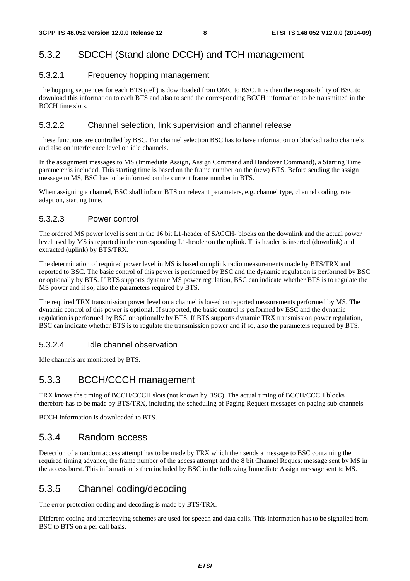#### 5.3.2 SDCCH (Stand alone DCCH) and TCH management

#### 5.3.2.1 Frequency hopping management

The hopping sequences for each BTS (cell) is downloaded from OMC to BSC. It is then the responsibility of BSC to download this information to each BTS and also to send the corresponding BCCH information to be transmitted in the BCCH time slots.

#### 5.3.2.2 Channel selection, link supervision and channel release

These functions are controlled by BSC. For channel selection BSC has to have information on blocked radio channels and also on interference level on idle channels.

In the assignment messages to MS (Immediate Assign, Assign Command and Handover Command), a Starting Time parameter is included. This starting time is based on the frame number on the (new) BTS. Before sending the assign message to MS, BSC has to be informed on the current frame number in BTS.

When assigning a channel, BSC shall inform BTS on relevant parameters, e.g. channel type, channel coding, rate adaption, starting time.

#### 5.3.2.3 Power control

The ordered MS power level is sent in the 16 bit L1-header of SACCH- blocks on the downlink and the actual power level used by MS is reported in the corresponding L1-header on the uplink. This header is inserted (downlink) and extracted (uplink) by BTS/TRX.

The determination of required power level in MS is based on uplink radio measurements made by BTS/TRX and reported to BSC. The basic control of this power is performed by BSC and the dynamic regulation is performed by BSC or optionally by BTS. If BTS supports dynamic MS power regulation, BSC can indicate whether BTS is to regulate the MS power and if so, also the parameters required by BTS.

The required TRX transmission power level on a channel is based on reported measurements performed by MS. The dynamic control of this power is optional. If supported, the basic control is performed by BSC and the dynamic regulation is performed by BSC or optionally by BTS. If BTS supports dynamic TRX transmission power regulation, BSC can indicate whether BTS is to regulate the transmission power and if so, also the parameters required by BTS.

#### 5.3.2.4 Idle channel observation

Idle channels are monitored by BTS.

#### 5.3.3 BCCH/CCCH management

TRX knows the timing of BCCH/CCCH slots (not known by BSC). The actual timing of BCCH/CCCH blocks therefore has to be made by BTS/TRX, including the scheduling of Paging Request messages on paging sub-channels.

BCCH information is downloaded to BTS.

#### 5.3.4 Random access

Detection of a random access attempt has to be made by TRX which then sends a message to BSC containing the required timing advance, the frame number of the access attempt and the 8 bit Channel Request message sent by MS in the access burst. This information is then included by BSC in the following Immediate Assign message sent to MS.

#### 5.3.5 Channel coding/decoding

The error protection coding and decoding is made by BTS/TRX.

Different coding and interleaving schemes are used for speech and data calls. This information has to be signalled from BSC to BTS on a per call basis.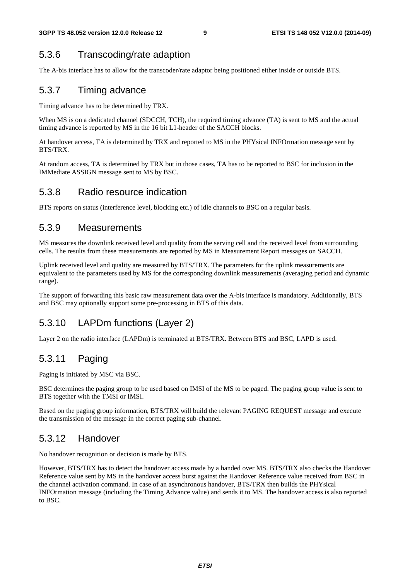### 5.3.6 Transcoding/rate adaption

The A-bis interface has to allow for the transcoder/rate adaptor being positioned either inside or outside BTS.

#### 5.3.7 Timing advance

Timing advance has to be determined by TRX.

When MS is on a dedicated channel (SDCCH, TCH), the required timing advance (TA) is sent to MS and the actual timing advance is reported by MS in the 16 bit L1-header of the SACCH blocks.

At handover access, TA is determined by TRX and reported to MS in the PHYsical INFOrmation message sent by BTS/TRX.

At random access, TA is determined by TRX but in those cases, TA has to be reported to BSC for inclusion in the IMMediate ASSIGN message sent to MS by BSC.

#### 5.3.8 Radio resource indication

BTS reports on status (interference level, blocking etc.) of idle channels to BSC on a regular basis.

#### 5.3.9 Measurements

MS measures the downlink received level and quality from the serving cell and the received level from surrounding cells. The results from these measurements are reported by MS in Measurement Report messages on SACCH.

Uplink received level and quality are measured by BTS/TRX. The parameters for the uplink measurements are equivalent to the parameters used by MS for the corresponding downlink measurements (averaging period and dynamic range).

The support of forwarding this basic raw measurement data over the A-bis interface is mandatory. Additionally, BTS and BSC may optionally support some pre-processing in BTS of this data.

#### 5.3.10 LAPDm functions (Layer 2)

Layer 2 on the radio interface (LAPDm) is terminated at BTS/TRX. Between BTS and BSC, LAPD is used.

#### 5.3.11 Paging

Paging is initiated by MSC via BSC.

BSC determines the paging group to be used based on IMSI of the MS to be paged. The paging group value is sent to BTS together with the TMSI or IMSI.

Based on the paging group information, BTS/TRX will build the relevant PAGING REQUEST message and execute the transmission of the message in the correct paging sub-channel.

#### 5.3.12 Handover

No handover recognition or decision is made by BTS.

However, BTS/TRX has to detect the handover access made by a handed over MS. BTS/TRX also checks the Handover Reference value sent by MS in the handover access burst against the Handover Reference value received from BSC in the channel activation command. In case of an asynchronous handover, BTS/TRX then builds the PHYsical INFOrmation message (including the Timing Advance value) and sends it to MS. The handover access is also reported to BSC.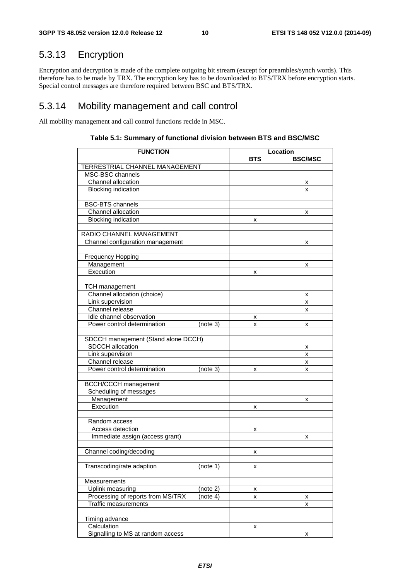### 5.3.13 Encryption

Encryption and decryption is made of the complete outgoing bit stream (except for preambles/synch words). This therefore has to be made by TRX. The encryption key has to be downloaded to BTS/TRX before encryption starts. Special control messages are therefore required between BSC and BTS/TRX.

#### 5.3.14 Mobility management and call control

All mobility management and call control functions recide in MSC.

| <b>FUNCTION</b>                               | Location   |                |  |
|-----------------------------------------------|------------|----------------|--|
|                                               | <b>BTS</b> | <b>BSC/MSC</b> |  |
| TERRESTRIAL CHANNEL MANAGEMENT                |            |                |  |
| MSC-BSC channels                              |            |                |  |
| Channel allocation                            |            | х              |  |
| <b>Blocking indication</b>                    |            | x              |  |
|                                               |            |                |  |
| <b>BSC-BTS</b> channels                       |            |                |  |
| Channel allocation                            |            | х              |  |
| <b>Blocking indication</b>                    | x          |                |  |
|                                               |            |                |  |
| RADIO CHANNEL MANAGEMENT                      |            |                |  |
| Channel configuration management              |            | x              |  |
|                                               |            |                |  |
| <b>Frequency Hopping</b>                      |            |                |  |
| Management                                    |            | x              |  |
| Execution                                     | x          |                |  |
|                                               |            |                |  |
| <b>TCH</b> management                         |            |                |  |
| Channel allocation (choice)                   |            | х              |  |
| Link supervision                              |            | x              |  |
| Channel release                               |            | x              |  |
| Idle channel observation                      | х          |                |  |
| Power control determination<br>(note 3)       | x          | x              |  |
|                                               |            |                |  |
| SDCCH management (Stand alone DCCH)           |            |                |  |
| SDCCH allocation                              |            | х              |  |
| Link supervision                              |            | x              |  |
| Channel release                               |            | x              |  |
| Power control determination<br>(note 3)       | x          | x              |  |
|                                               |            |                |  |
| <b>BCCH/CCCH</b> management                   |            |                |  |
| Scheduling of messages                        |            |                |  |
| Management                                    |            | x              |  |
| Execution                                     | х          |                |  |
|                                               |            |                |  |
| Random access                                 |            |                |  |
| Access detection                              | x          |                |  |
| Immediate assign (access grant)               |            | x              |  |
|                                               |            |                |  |
| Channel coding/decoding                       | X          |                |  |
|                                               |            |                |  |
| Transcoding/rate adaption<br>(note 1)         | x          |                |  |
|                                               |            |                |  |
| Measurements                                  |            |                |  |
| Uplink measuring<br>(note 2)                  | x          |                |  |
| Processing of reports from MS/TRX<br>(note 4) | x          | x              |  |
| <b>Traffic measurements</b>                   |            | x              |  |
|                                               |            |                |  |
| Timing advance                                |            |                |  |
| Calculation                                   | x          |                |  |
| Signalling to MS at random access             |            | x              |  |

#### **Table 5.1: Summary of functional division between BTS and BSC/MSC**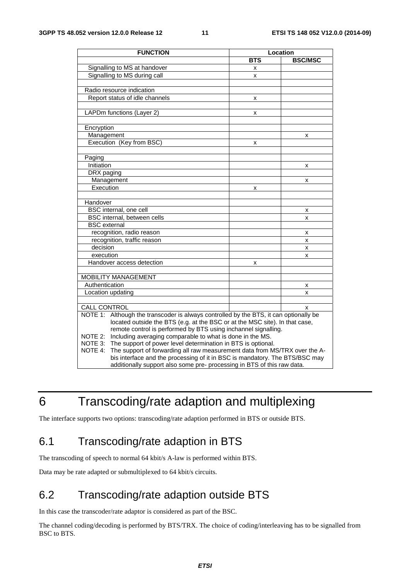| <b>FUNCTION</b>                                                                          | Location   |                |  |
|------------------------------------------------------------------------------------------|------------|----------------|--|
|                                                                                          | <b>BTS</b> | <b>BSC/MSC</b> |  |
| Signalling to MS at handover                                                             | x          |                |  |
| Signalling to MS during call                                                             | x          |                |  |
|                                                                                          |            |                |  |
| Radio resource indication                                                                |            |                |  |
| Report status of idle channels                                                           | x          |                |  |
|                                                                                          |            |                |  |
| LAPDm functions (Layer 2)                                                                | x          |                |  |
|                                                                                          |            |                |  |
| Encryption                                                                               |            |                |  |
| Management                                                                               |            | x              |  |
| Execution (Key from BSC)                                                                 | x          |                |  |
|                                                                                          |            |                |  |
| Paging                                                                                   |            |                |  |
| Initiation                                                                               |            | x              |  |
| DRX paging                                                                               |            |                |  |
| Management                                                                               |            | x              |  |
| Execution                                                                                | x          |                |  |
|                                                                                          |            |                |  |
| Handover                                                                                 |            |                |  |
| BSC internal, one cell                                                                   |            | x              |  |
| BSC internal, between cells                                                              |            | x              |  |
| <b>BSC</b> external                                                                      |            |                |  |
| recognition, radio reason                                                                |            | x              |  |
| recognition, traffic reason                                                              |            | X              |  |
| decision                                                                                 |            | x              |  |
| execution                                                                                |            | x              |  |
| Handover access detection                                                                | x          |                |  |
|                                                                                          |            |                |  |
| <b>MOBILITY MANAGEMENT</b>                                                               |            |                |  |
| Authentication                                                                           |            | x              |  |
| Location updating                                                                        |            | x              |  |
|                                                                                          |            |                |  |
| <b>CALL CONTROL</b>                                                                      |            | x              |  |
| NOTE 1:<br>Although the transcoder is always controlled by the BTS, it can optionally be |            |                |  |
| located outside the BTS (e.g. at the BSC or at the MSC site). In that case,              |            |                |  |
| remote control is performed by BTS using inchannel signalling.                           |            |                |  |
| Including averaging comparable to what is done in the MS.<br>NOTE 2:                     |            |                |  |
| NOTE 3: The support of power level determination in BTS is optional.                     |            |                |  |
| NOTE 4:<br>The support of forwarding all raw measurement data from MS/TRX over the A-    |            |                |  |
| bis interface and the processing of it in BSC is mandatory. The BTS/BSC may              |            |                |  |
| additionally support also some pre- processing in BTS of this raw data.                  |            |                |  |

### 6 Transcoding/rate adaption and multiplexing

The interface supports two options: transcoding/rate adaption performed in BTS or outside BTS.

### 6.1 Transcoding/rate adaption in BTS

The transcoding of speech to normal 64 kbit/s A-law is performed within BTS.

Data may be rate adapted or submultiplexed to 64 kbit/s circuits.

### 6.2 Transcoding/rate adaption outside BTS

In this case the transcoder/rate adaptor is considered as part of the BSC.

The channel coding/decoding is performed by BTS/TRX. The choice of coding/interleaving has to be signalled from BSC to BTS.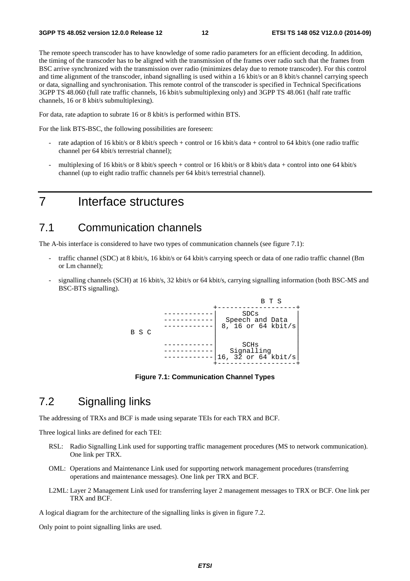The remote speech transcoder has to have knowledge of some radio parameters for an efficient decoding. In addition, the timing of the transcoder has to be aligned with the transmission of the frames over radio such that the frames from BSC arrive synchronized with the transmission over radio (minimizes delay due to remote transcoder). For this control and time alignment of the transcoder, inband signalling is used within a 16 kbit/s or an 8 kbit/s channel carrying speech or data, signalling and synchronisation. This remote control of the transcoder is specified in Technical Specifications 3GPP TS 48.060 (full rate traffic channels, 16 kbit/s submultiplexing only) and 3GPP TS 48.061 (half rate traffic channels, 16 or 8 kbit/s submultiplexing).

For data, rate adaption to subrate 16 or 8 kbit/s is performed within BTS.

For the link BTS-BSC, the following possibilities are foreseen:

- rate adaption of 16 kbit/s or 8 kbit/s speech + control or 16 kbit/s data + control to 64 kbit/s (one radio traffic channel per 64 kbit/s terrestrial channel);
- multiplexing of 16 kbit/s or 8 kbit/s speech + control or 16 kbit/s or 8 kbit/s data + control into one 64 kbit/s channel (up to eight radio traffic channels per 64 kbit/s terrestrial channel).

### 7 Interface structures

#### 7.1 Communication channels

The A-bis interface is considered to have two types of communication channels (see figure 7.1):

- traffic channel (SDC) at 8 kbit/s, 16 kbit/s or 64 kbit/s carrying speech or data of one radio traffic channel (Bm or Lm channel);
- signalling channels (SCH) at 16 kbit/s, 32 kbit/s or 64 kbit/s, carrying signalling information (both BSC-MS and BSC-BTS signalling).



**Figure 7.1: Communication Channel Types** 

### 7.2 Signalling links

The addressing of TRXs and BCF is made using separate TEIs for each TRX and BCF.

Three logical links are defined for each TEI:

- RSL: Radio Signalling Link used for supporting traffic management procedures (MS to network communication). One link per TRX.
- OML: Operations and Maintenance Link used for supporting network management procedures (transferring operations and maintenance messages). One link per TRX and BCF.
- L2ML: Layer 2 Management Link used for transferring layer 2 management messages to TRX or BCF. One link per TRX and BCF.

A logical diagram for the architecture of the signalling links is given in figure 7.2.

Only point to point signalling links are used.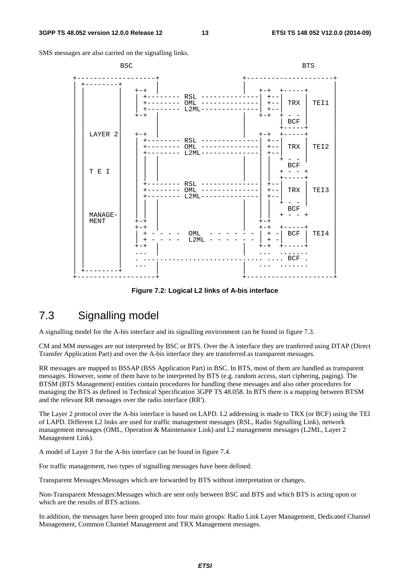SMS messages are also carried on the signalling links.



**Figure 7.2: Logical L2 links of A-bis interface** 

### 7.3 Signalling model

A signalling model for the A-bis interface and its signalling environment can be found in figure 7.3.

CM and MM messages are not interpreted by BSC or BTS. Over the A interface they are tranferred using DTAP (Direct Transfer Application Part) and over the A-bis interface they are transferred as transparent messages.

RR messages are mapped to BSSAP (BSS Application Part) in BSC. In BTS, most of them are handled as transparent messages. However, some of them have to be interpreted by BTS (e.g. random access, start ciphering, paging). The BTSM (BTS Management) entities contain procedures for handling these messages and also other procedures for managing the BTS as defined in Technical Specification 3GPP TS 48.058. In BTS there is a mapping between BTSM and the relevant RR messages over the radio interface (RR').

The Layer 2 protocol over the A-bis interface is based on LAPD. L2 addressing is made to TRX (or BCF) using the TEI of LAPD. Different L2 links are used for traffic management messages (RSL, Radio Signalling Link), network management messages (OML, Operation & Maintenance Link) and L2 management messages (L2ML, Layer 2 Management Link).

A model of Layer 3 for the A-bis interface can be found in figure 7.4.

For traffic management, two types of signalling messages have been defined:

Transparent Messages:Messages which are forwarded by BTS without interpretation or changes.

Non-Transparent Messages:Messages which are sent only between BSC and BTS and which BTS is acting upon or which are the results of BTS actions.

In addition, the messages have been grouped into four main groups: Radio Link Layer Management, Dedicated Channel Management, Common Channel Management and TRX Management messages.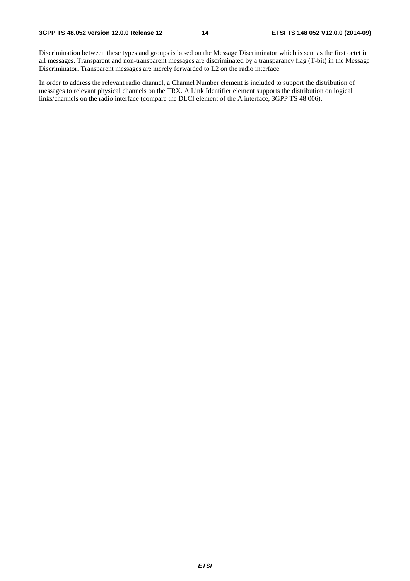Discrimination between these types and groups is based on the Message Discriminator which is sent as the first octet in all messages. Transparent and non-transparent messages are discriminated by a transparancy flag (T-bit) in the Message Discriminator. Transparent messages are merely forwarded to L2 on the radio interface.

In order to address the relevant radio channel, a Channel Number element is included to support the distribution of messages to relevant physical channels on the TRX. A Link Identifier element supports the distribution on logical links/channels on the radio interface (compare the DLCI element of the A interface, 3GPP TS 48.006).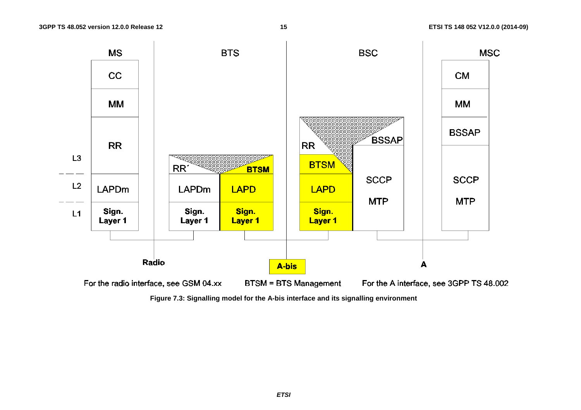

**Figure 7.3: Signalling model for the A-bis interface and its signalling environment**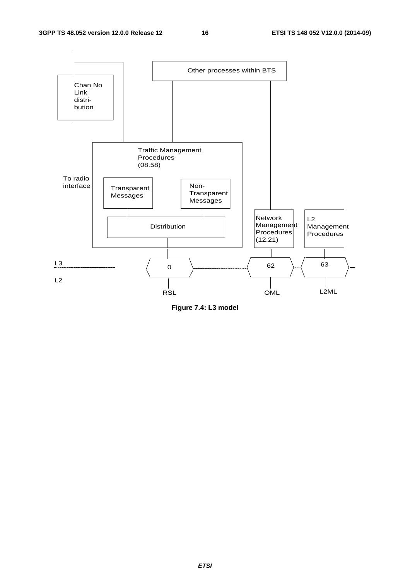

**Figure 7.4: L3 model**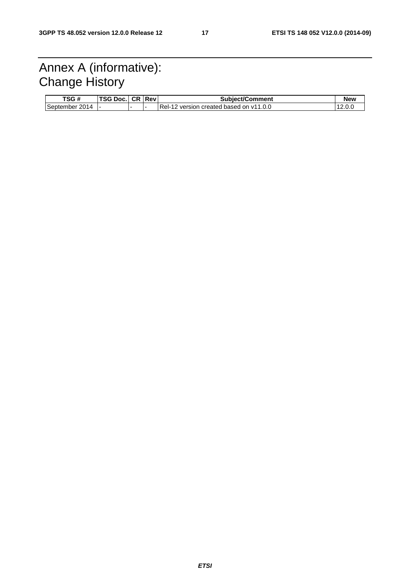### Annex A (informative): Change History

| TSG #          | TSG D<br>DOC. | CR I | <b>Rev</b> | <b>Subiect/Comment</b>                                  | <b>New</b> |
|----------------|---------------|------|------------|---------------------------------------------------------|------------|
| September 2014 |               |      |            | $Rel-12$<br>version created based on v11.0.0 $^{\circ}$ | $12.0\nu$  |